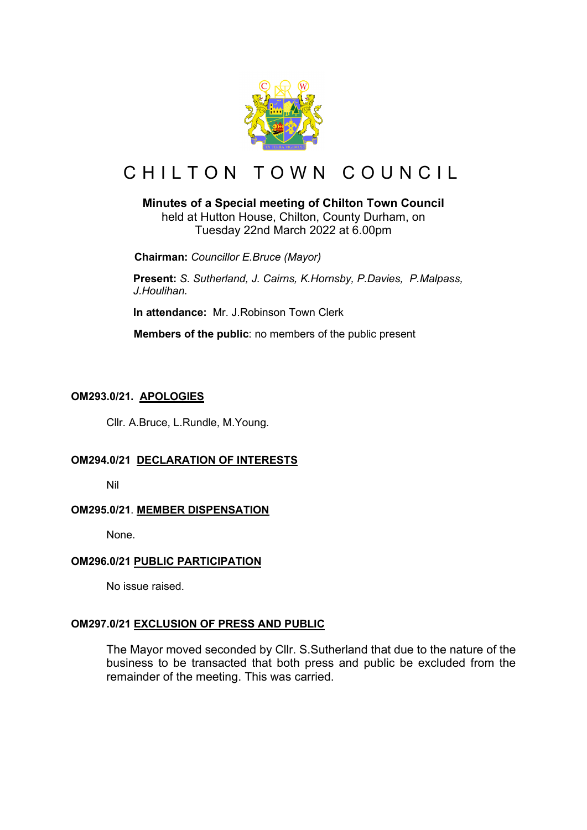

# CHILTON TOWN COUNCIL

# **Minutes of a Special meeting of Chilton Town Council**

held at Hutton House, Chilton, County Durham, on Tuesday 22nd March 2022 at 6.00pm

 **Chairman:** *Councillor E.Bruce (Mayor)*

**Present:** *S. Sutherland, J. Cairns, K.Hornsby, P.Davies, P.Malpass, J.Houlihan.*

**In attendance:** Mr. J.Robinson Town Clerk

 **Members of the public**: no members of the public present

# **OM293.0/21. APOLOGIES**

Cllr. A.Bruce, L.Rundle, M.Young.

# **OM294.0/21 DECLARATION OF INTERESTS**

Nil

# **OM295.0/21**. **MEMBER DISPENSATION**

None.

# **OM296.0/21 PUBLIC PARTICIPATION**

No issue raised.

# **OM297.0/21 EXCLUSION OF PRESS AND PUBLIC**

The Mayor moved seconded by Cllr. S.Sutherland that due to the nature of the business to be transacted that both press and public be excluded from the remainder of the meeting. This was carried.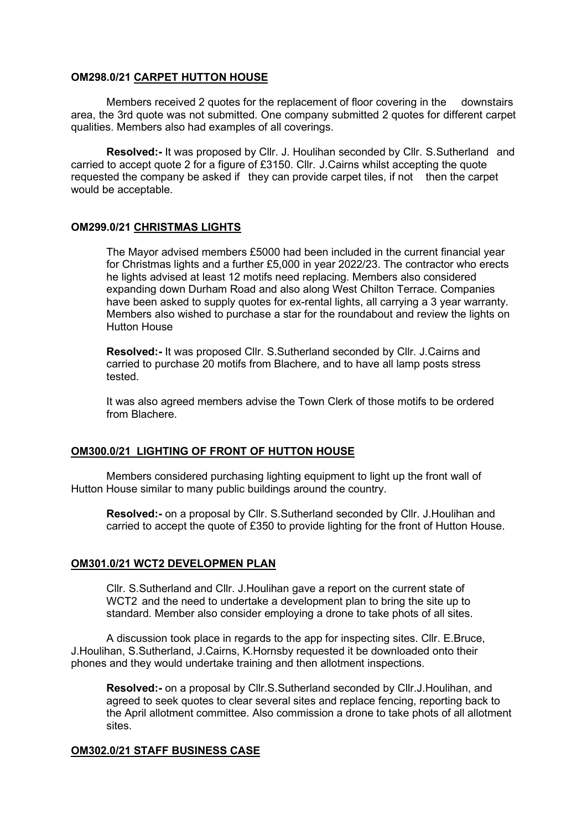#### **OM298.0/21 CARPET HUTTON HOUSE**

Members received 2 quotes for the replacement of floor covering in the downstairs area, the 3rd quote was not submitted. One company submitted 2 quotes for different carpet qualities. Members also had examples of all coverings.

**Resolved:-** It was proposed by Cllr. J. Houlihan seconded by Cllr. S.Sutherland and carried to accept quote 2 for a figure of £3150. Cllr. J.Cairns whilst accepting the quote requested the company be asked if they can provide carpet tiles, if not then the carpet would be acceptable.

#### **OM299.0/21 CHRISTMAS LIGHTS**

The Mayor advised members £5000 had been included in the current financial year for Christmas lights and a further £5,000 in year 2022/23. The contractor who erects he lights advised at least 12 motifs need replacing. Members also considered expanding down Durham Road and also along West Chilton Terrace. Companies have been asked to supply quotes for ex-rental lights, all carrying a 3 year warranty. Members also wished to purchase a star for the roundabout and review the lights on Hutton House

**Resolved:-** It was proposed Cllr. S.Sutherland seconded by Cllr. J.Cairns and carried to purchase 20 motifs from Blachere, and to have all lamp posts stress tested.

It was also agreed members advise the Town Clerk of those motifs to be ordered from Blachere.

#### **OM300.0/21 LIGHTING OF FRONT OF HUTTON HOUSE**

Members considered purchasing lighting equipment to light up the front wall of Hutton House similar to many public buildings around the country.

**Resolved:-** on a proposal by Cllr. S.Sutherland seconded by Cllr. J.Houlihan and carried to accept the quote of £350 to provide lighting for the front of Hutton House.

#### **OM301.0/21 WCT2 DEVELOPMEN PLAN**

Cllr. S.Sutherland and Cllr. J.Houlihan gave a report on the current state of WCT2 and the need to undertake a development plan to bring the site up to standard. Member also consider employing a drone to take phots of all sites.

A discussion took place in regards to the app for inspecting sites. Cllr. E.Bruce, J.Houlihan, S.Sutherland, J.Cairns, K.Hornsby requested it be downloaded onto their phones and they would undertake training and then allotment inspections.

**Resolved:-** on a proposal by Cllr.S.Sutherland seconded by Cllr.J.Houlihan, and agreed to seek quotes to clear several sites and replace fencing, reporting back to the April allotment committee. Also commission a drone to take phots of all allotment sites.

#### **OM302.0/21 STAFF BUSINESS CASE**